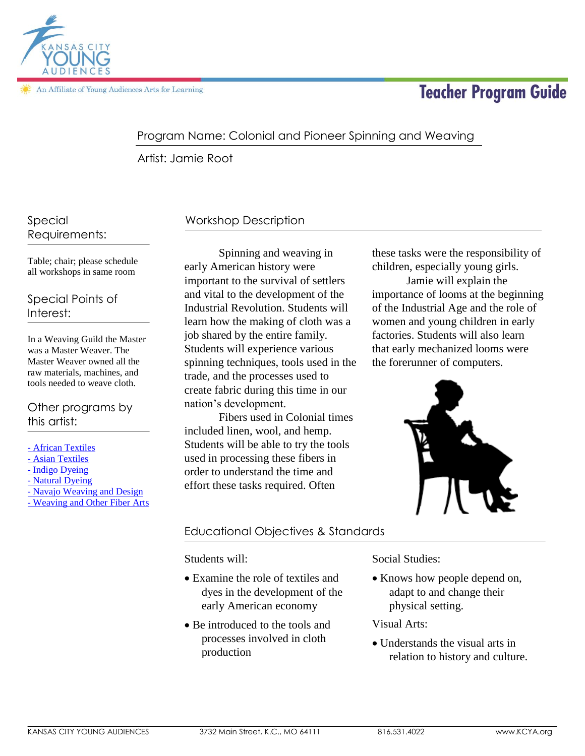n Affiliate of Young Audiences Arts for Learning

## **Teacher Program Guide**

#### Program Name: Colonial and Pioneer Spinning and Weaving

Artist: Jamie Root

Special Requirements:

Table; chair; please schedule all workshops in same room

#### Special Points of Interest:

In a Weaving Guild the Master was a Master Weaver. The Master Weaver owned all the raw materials, machines, and tools needed to weave cloth.

#### Other programs by this artist:

- [African Textiles](http://kcya.lazarusgroup.com/art_catalog.php?page=list&q=item&id=515) - [Asian Textiles](http://kcya.lazarusgroup.com/art_catalog.php?page=list&q=item&id=517) - [Indigo Dyeing](http://kcya.lazarusgroup.com/art_catalog.php?page=list&q=item&id=192) - [Natural Dyeing](http://kcya.lazarusgroup.com/art_catalog.php?page=list&q=item&id=306) - [Navajo Weaving and Design](http://kcya.lazarusgroup.com/art_catalog.php?page=list&q=item&id=308) - [Weaving and Other Fiber Arts](http://kcya.lazarusgroup.com/art_catalog.php?page=list&q=item&id=336)

### Workshop Description

Spinning and weaving in early American history were important to the survival of settlers and vital to the development of the Industrial Revolution. Students will learn how the making of cloth was a job shared by the entire family. Students will experience various spinning techniques, tools used in the trade, and the processes used to create fabric during this time in our nation's development.

Fibers used in Colonial times included linen, wool, and hemp. Students will be able to try the tools used in processing these fibers in order to understand the time and effort these tasks required. Often

# Educational Objectives & Standards

Students will:

- Examine the role of textiles and dyes in the development of the early American economy
- Be introduced to the tools and processes involved in cloth production

Social Studies:

adapt to and change their • Knows how people depend on, physical setting.

Visual Arts:

 Understands the visual arts in relation to history and culture.

these tasks were the responsibility of children, especially young girls.

Jamie will explain the importance of looms at the beginning of the Industrial Age and the role of women and young children in early factories. Students will also learn that early mechanized looms were the forerunner of computers.